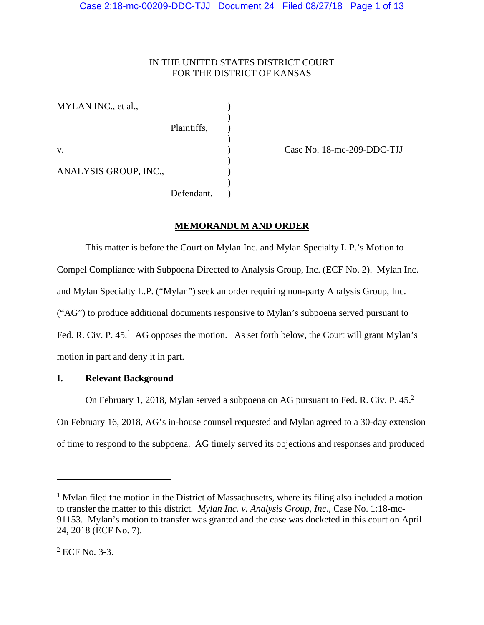## IN THE UNITED STATES DISTRICT COURT FOR THE DISTRICT OF KANSAS

MYLAN INC., et al.,  $)$ 

ANALYSIS GROUP, INC.,

 $\overline{\phantom{a}}$ 

 $)$ 

 $\overline{\phantom{a}}$ Defendant.

Plaintiffs, )

v. ) Case No. 18-mc-209-DDC-TJJ

# **MEMORANDUM AND ORDER**

 This matter is before the Court on Mylan Inc. and Mylan Specialty L.P.'s Motion to Compel Compliance with Subpoena Directed to Analysis Group, Inc. (ECF No. 2). Mylan Inc. and Mylan Specialty L.P. ("Mylan") seek an order requiring non-party Analysis Group, Inc. ("AG") to produce additional documents responsive to Mylan's subpoena served pursuant to Fed. R. Civ. P.  $45<sup>1</sup>$  AG opposes the motion. As set forth below, the Court will grant Mylan's motion in part and deny it in part.

## **I. Relevant Background**

On February 1, 2018, Mylan served a subpoena on AG pursuant to Fed. R. Civ. P. 45.<sup>2</sup> On February 16, 2018, AG's in-house counsel requested and Mylan agreed to a 30-day extension of time to respond to the subpoena. AG timely served its objections and responses and produced

 $\overline{\phantom{a}}$ 

<sup>&</sup>lt;sup>1</sup> Mylan filed the motion in the District of Massachusetts, where its filing also included a motion to transfer the matter to this district. *Mylan Inc. v. Analysis Group, Inc.*, Case No. 1:18-mc-91153. Mylan's motion to transfer was granted and the case was docketed in this court on April 24, 2018 (ECF No. 7).

<sup>2</sup> ECF No. 3-3.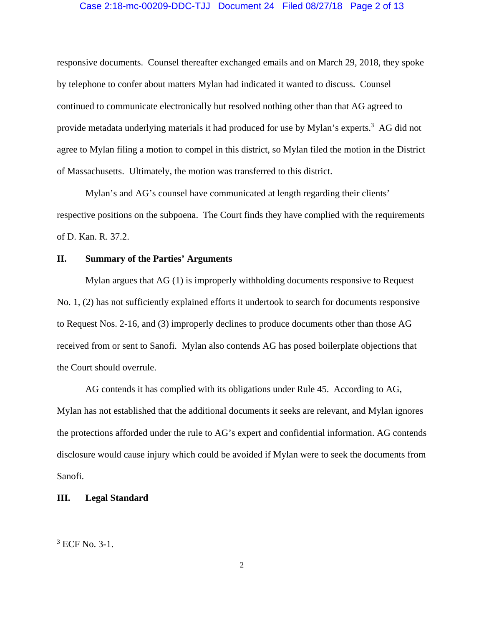#### Case 2:18-mc-00209-DDC-TJJ Document 24 Filed 08/27/18 Page 2 of 13

responsive documents. Counsel thereafter exchanged emails and on March 29, 2018, they spoke by telephone to confer about matters Mylan had indicated it wanted to discuss. Counsel continued to communicate electronically but resolved nothing other than that AG agreed to provide metadata underlying materials it had produced for use by Mylan's experts.<sup>3</sup> AG did not agree to Mylan filing a motion to compel in this district, so Mylan filed the motion in the District of Massachusetts. Ultimately, the motion was transferred to this district.

Mylan's and AG's counsel have communicated at length regarding their clients' respective positions on the subpoena. The Court finds they have complied with the requirements of D. Kan. R. 37.2.

## **II. Summary of the Parties' Arguments**

Mylan argues that AG (1) is improperly withholding documents responsive to Request No. 1, (2) has not sufficiently explained efforts it undertook to search for documents responsive to Request Nos. 2-16, and (3) improperly declines to produce documents other than those AG received from or sent to Sanofi. Mylan also contends AG has posed boilerplate objections that the Court should overrule.

 AG contends it has complied with its obligations under Rule 45. According to AG, Mylan has not established that the additional documents it seeks are relevant, and Mylan ignores the protections afforded under the rule to AG's expert and confidential information. AG contends disclosure would cause injury which could be avoided if Mylan were to seek the documents from Sanofi.

## **III. Legal Standard**

 $\overline{\phantom{a}}$ 

<sup>3</sup> ECF No. 3-1.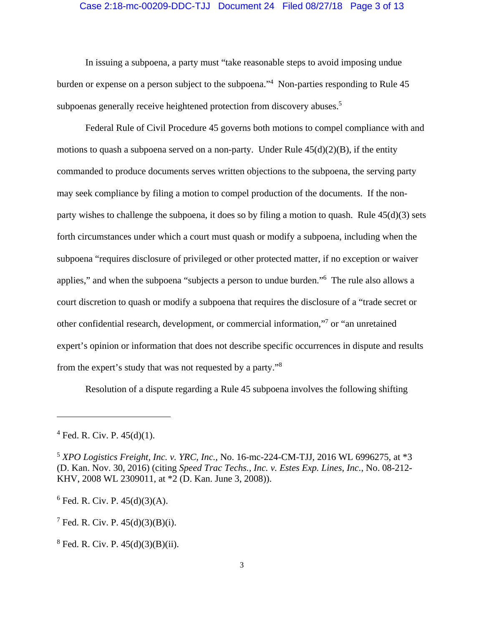#### Case 2:18-mc-00209-DDC-TJJ Document 24 Filed 08/27/18 Page 3 of 13

 In issuing a subpoena, a party must "take reasonable steps to avoid imposing undue burden or expense on a person subject to the subpoena."4 Non-parties responding to Rule 45 subpoenas generally receive heightened protection from discovery abuses.<sup>5</sup>

Federal Rule of Civil Procedure 45 governs both motions to compel compliance with and motions to quash a subpoena served on a non-party. Under Rule  $45(d)(2)(B)$ , if the entity commanded to produce documents serves written objections to the subpoena, the serving party may seek compliance by filing a motion to compel production of the documents. If the nonparty wishes to challenge the subpoena, it does so by filing a motion to quash. Rule 45(d)(3) sets forth circumstances under which a court must quash or modify a subpoena, including when the subpoena "requires disclosure of privileged or other protected matter, if no exception or waiver applies," and when the subpoena "subjects a person to undue burden."6 The rule also allows a court discretion to quash or modify a subpoena that requires the disclosure of a "trade secret or other confidential research, development, or commercial information,"7 or "an unretained expert's opinion or information that does not describe specific occurrences in dispute and results from the expert's study that was not requested by a party."8

Resolution of a dispute regarding a Rule 45 subpoena involves the following shifting

 $\overline{\phantom{a}}$ 

 $6$  Fed. R. Civ. P.  $45(d)(3)(A)$ .

 $7 \text{ Fed. R. Civ. P. } 45(d)(3)(B)(i).$ 

 $4$  Fed. R. Civ. P.  $45(d)(1)$ .

<sup>5</sup> *XPO Logistics Freight, Inc. v. YRC, Inc.*, No. 16-mc-224-CM-TJJ, 2016 WL 6996275, at \*3 (D. Kan. Nov. 30, 2016) (citing *Speed Trac Techs., Inc. v. Estes Exp. Lines, Inc.*, No. 08-212- KHV, 2008 WL 2309011, at \*2 (D. Kan. June 3, 2008)).

 $8 \text{ Fed. R. Civ. P. } 45(d)(3)(B)(ii).$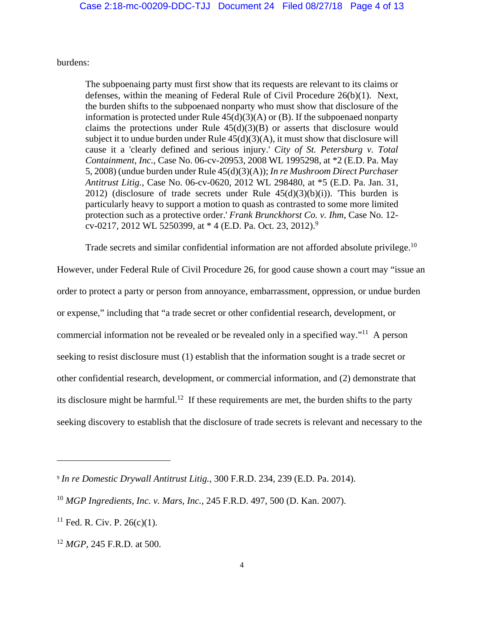burdens:

The subpoenaing party must first show that its requests are relevant to its claims or defenses, within the meaning of Federal Rule of Civil Procedure 26(b)(1). Next, the burden shifts to the subpoenaed nonparty who must show that disclosure of the information is protected under Rule  $45(d)(3)(A)$  or (B). If the subpoenaed nonparty claims the protections under Rule  $45(d)(3)(B)$  or asserts that disclosure would subject it to undue burden under Rule  $45(d)(3)(A)$ , it must show that disclosure will cause it a 'clearly defined and serious injury.' *City of St. Petersburg v. Total Containment, Inc.*, Case No. 06-cv-20953, 2008 WL 1995298, at \*2 (E.D. Pa. May 5, 2008) (undue burden under Rule 45(d)(3)(A)); *In re Mushroom Direct Purchaser Antitrust Litig.*, Case No. 06-cv-0620, 2012 WL 298480, at \*5 (E.D. Pa. Jan. 31, 2012) (disclosure of trade secrets under Rule  $45(d)(3)(b)(i)$ ). This burden is particularly heavy to support a motion to quash as contrasted to some more limited protection such as a protective order.' *Frank Brunckhorst Co. v. Ihm*, Case No. 12 cv-0217, 2012 WL 5250399, at  $*$  4 (E.D. Pa. Oct. 23, 2012).<sup>9</sup>

Trade secrets and similar confidential information are not afforded absolute privilege.<sup>10</sup>

However, under Federal Rule of Civil Procedure 26, for good cause shown a court may "issue an order to protect a party or person from annoyance, embarrassment, oppression, or undue burden or expense," including that "a trade secret or other confidential research, development, or commercial information not be revealed or be revealed only in a specified way."11 A person seeking to resist disclosure must (1) establish that the information sought is a trade secret or other confidential research, development, or commercial information, and (2) demonstrate that its disclosure might be harmful.<sup>12</sup> If these requirements are met, the burden shifts to the party seeking discovery to establish that the disclosure of trade secrets is relevant and necessary to the

<sup>9</sup> *In re Domestic Drywall Antitrust Litig.*, 300 F.R.D. 234, 239 (E.D. Pa. 2014).

<sup>10</sup> *MGP Ingredients, Inc. v. Mars, Inc.*, 245 F.R.D. 497, 500 (D. Kan. 2007).

 $11$  Fed. R. Civ. P. 26(c)(1).

<sup>12</sup> *MGP*, 245 F.R.D. at 500.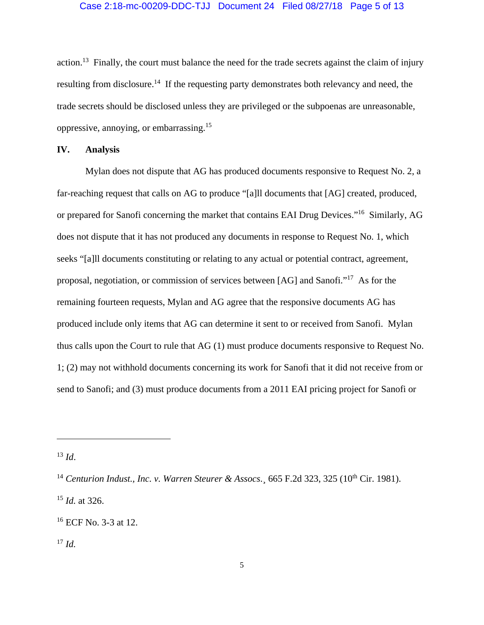## Case 2:18-mc-00209-DDC-TJJ Document 24 Filed 08/27/18 Page 5 of 13

action.<sup>13</sup> Finally, the court must balance the need for the trade secrets against the claim of injury resulting from disclosure.<sup>14</sup> If the requesting party demonstrates both relevancy and need, the trade secrets should be disclosed unless they are privileged or the subpoenas are unreasonable, oppressive, annoying, or embarrassing.15

## **IV. Analysis**

 Mylan does not dispute that AG has produced documents responsive to Request No. 2, a far-reaching request that calls on AG to produce "[a]ll documents that [AG] created, produced, or prepared for Sanofi concerning the market that contains EAI Drug Devices."16 Similarly, AG does not dispute that it has not produced any documents in response to Request No. 1, which seeks "[a]ll documents constituting or relating to any actual or potential contract, agreement, proposal, negotiation, or commission of services between [AG] and Sanofi."17 As for the remaining fourteen requests, Mylan and AG agree that the responsive documents AG has produced include only items that AG can determine it sent to or received from Sanofi. Mylan thus calls upon the Court to rule that AG (1) must produce documents responsive to Request No. 1; (2) may not withhold documents concerning its work for Sanofi that it did not receive from or send to Sanofi; and (3) must produce documents from a 2011 EAI pricing project for Sanofi or

 $\overline{a}$ 

 $17 \, Id.$ 

 $^{13}$  *Id.* 

<sup>&</sup>lt;sup>14</sup> *Centurion Indust., Inc. v. Warren Steurer & Assocs.*  $665$  F.2d 323, 325 ( $10^{th}$  Cir. 1981).

<sup>15</sup> *Id.* at 326.

<sup>16</sup> ECF No. 3-3 at 12.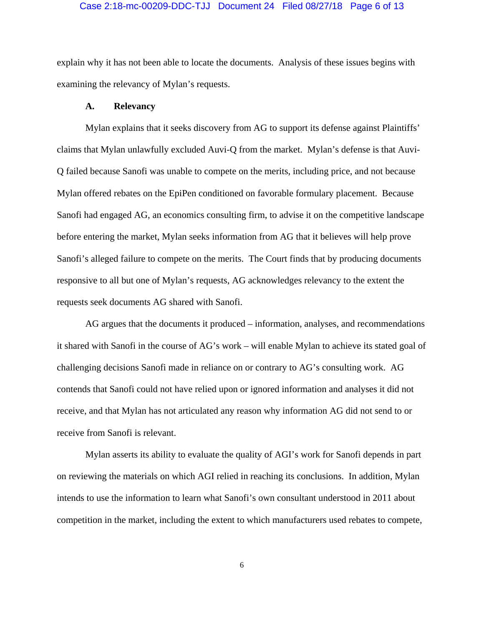#### Case 2:18-mc-00209-DDC-TJJ Document 24 Filed 08/27/18 Page 6 of 13

explain why it has not been able to locate the documents. Analysis of these issues begins with examining the relevancy of Mylan's requests.

### **A. Relevancy**

 Mylan explains that it seeks discovery from AG to support its defense against Plaintiffs' claims that Mylan unlawfully excluded Auvi-Q from the market. Mylan's defense is that Auvi-Q failed because Sanofi was unable to compete on the merits, including price, and not because Mylan offered rebates on the EpiPen conditioned on favorable formulary placement. Because Sanofi had engaged AG, an economics consulting firm, to advise it on the competitive landscape before entering the market, Mylan seeks information from AG that it believes will help prove Sanofi's alleged failure to compete on the merits. The Court finds that by producing documents responsive to all but one of Mylan's requests, AG acknowledges relevancy to the extent the requests seek documents AG shared with Sanofi.

 AG argues that the documents it produced – information, analyses, and recommendations it shared with Sanofi in the course of AG's work – will enable Mylan to achieve its stated goal of challenging decisions Sanofi made in reliance on or contrary to AG's consulting work. AG contends that Sanofi could not have relied upon or ignored information and analyses it did not receive, and that Mylan has not articulated any reason why information AG did not send to or receive from Sanofi is relevant.

 Mylan asserts its ability to evaluate the quality of AGI's work for Sanofi depends in part on reviewing the materials on which AGI relied in reaching its conclusions. In addition, Mylan intends to use the information to learn what Sanofi's own consultant understood in 2011 about competition in the market, including the extent to which manufacturers used rebates to compete,

6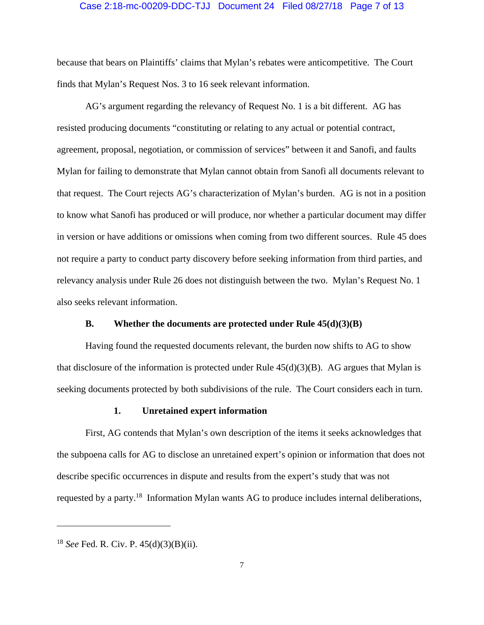#### Case 2:18-mc-00209-DDC-TJJ Document 24 Filed 08/27/18 Page 7 of 13

because that bears on Plaintiffs' claims that Mylan's rebates were anticompetitive. The Court finds that Mylan's Request Nos. 3 to 16 seek relevant information.

 AG's argument regarding the relevancy of Request No. 1 is a bit different. AG has resisted producing documents "constituting or relating to any actual or potential contract, agreement, proposal, negotiation, or commission of services" between it and Sanofi, and faults Mylan for failing to demonstrate that Mylan cannot obtain from Sanofi all documents relevant to that request. The Court rejects AG's characterization of Mylan's burden. AG is not in a position to know what Sanofi has produced or will produce, nor whether a particular document may differ in version or have additions or omissions when coming from two different sources. Rule 45 does not require a party to conduct party discovery before seeking information from third parties, and relevancy analysis under Rule 26 does not distinguish between the two. Mylan's Request No. 1 also seeks relevant information.

## **B. Whether the documents are protected under Rule 45(d)(3)(B)**

 Having found the requested documents relevant, the burden now shifts to AG to show that disclosure of the information is protected under Rule  $45(d)(3)(B)$ . AG argues that Mylan is seeking documents protected by both subdivisions of the rule. The Court considers each in turn.

#### **1. Unretained expert information**

 First, AG contends that Mylan's own description of the items it seeks acknowledges that the subpoena calls for AG to disclose an unretained expert's opinion or information that does not describe specific occurrences in dispute and results from the expert's study that was not requested by a party.18 Information Mylan wants AG to produce includes internal deliberations,

<sup>18</sup> *See* Fed. R. Civ. P. 45(d)(3)(B)(ii).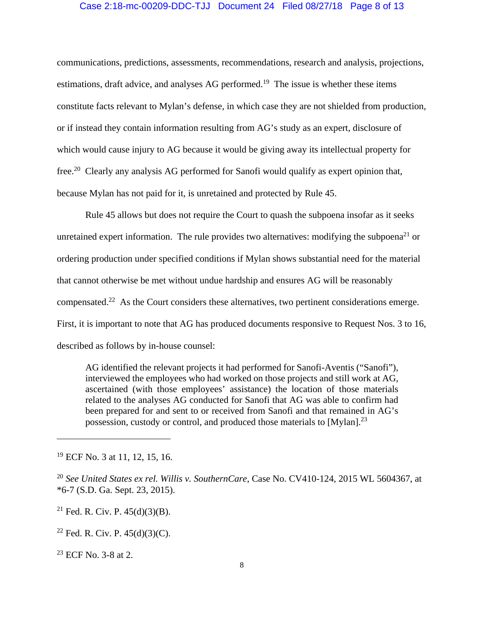#### Case 2:18-mc-00209-DDC-TJJ Document 24 Filed 08/27/18 Page 8 of 13

communications, predictions, assessments, recommendations, research and analysis, projections, estimations, draft advice, and analyses AG performed.<sup>19</sup> The issue is whether these items constitute facts relevant to Mylan's defense, in which case they are not shielded from production, or if instead they contain information resulting from AG's study as an expert, disclosure of which would cause injury to AG because it would be giving away its intellectual property for free.20 Clearly any analysis AG performed for Sanofi would qualify as expert opinion that, because Mylan has not paid for it, is unretained and protected by Rule 45.

 Rule 45 allows but does not require the Court to quash the subpoena insofar as it seeks unretained expert information. The rule provides two alternatives: modifying the subpoena<sup>21</sup> or ordering production under specified conditions if Mylan shows substantial need for the material that cannot otherwise be met without undue hardship and ensures AG will be reasonably compensated.22 As the Court considers these alternatives, two pertinent considerations emerge. First, it is important to note that AG has produced documents responsive to Request Nos. 3 to 16, described as follows by in-house counsel:

AG identified the relevant projects it had performed for Sanofi-Aventis ("Sanofi"), interviewed the employees who had worked on those projects and still work at AG, ascertained (with those employees' assistance) the location of those materials related to the analyses AG conducted for Sanofi that AG was able to confirm had been prepared for and sent to or received from Sanofi and that remained in AG's possession, custody or control, and produced those materials to  $[Mylan]$ <sup>23</sup>

<sup>21</sup> Fed. R. Civ. P.  $45(d)(3)(B)$ .

<sup>22</sup> Fed. R. Civ. P.  $45(d)(3)(C)$ .

23 ECF No. 3-8 at 2.

<sup>&</sup>lt;sup>19</sup> ECF No. 3 at 11, 12, 15, 16.

<sup>20</sup> *See United States ex rel. Willis v. SouthernCare*, Case No. CV410-124, 2015 WL 5604367, at \*6-7 (S.D. Ga. Sept. 23, 2015).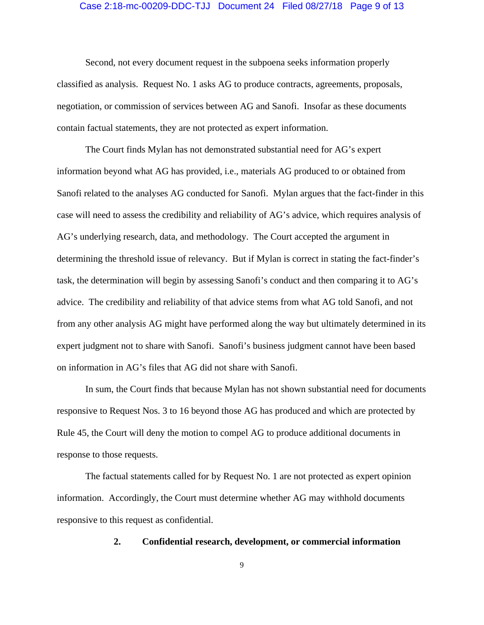#### Case 2:18-mc-00209-DDC-TJJ Document 24 Filed 08/27/18 Page 9 of 13

 Second, not every document request in the subpoena seeks information properly classified as analysis. Request No. 1 asks AG to produce contracts, agreements, proposals, negotiation, or commission of services between AG and Sanofi. Insofar as these documents contain factual statements, they are not protected as expert information.

 The Court finds Mylan has not demonstrated substantial need for AG's expert information beyond what AG has provided, i.e., materials AG produced to or obtained from Sanofi related to the analyses AG conducted for Sanofi. Mylan argues that the fact-finder in this case will need to assess the credibility and reliability of AG's advice, which requires analysis of AG's underlying research, data, and methodology. The Court accepted the argument in determining the threshold issue of relevancy. But if Mylan is correct in stating the fact-finder's task, the determination will begin by assessing Sanofi's conduct and then comparing it to AG's advice. The credibility and reliability of that advice stems from what AG told Sanofi, and not from any other analysis AG might have performed along the way but ultimately determined in its expert judgment not to share with Sanofi. Sanofi's business judgment cannot have been based on information in AG's files that AG did not share with Sanofi.

In sum, the Court finds that because Mylan has not shown substantial need for documents responsive to Request Nos. 3 to 16 beyond those AG has produced and which are protected by Rule 45, the Court will deny the motion to compel AG to produce additional documents in response to those requests.

 The factual statements called for by Request No. 1 are not protected as expert opinion information. Accordingly, the Court must determine whether AG may withhold documents responsive to this request as confidential.

**2. Confidential research, development, or commercial information** 

9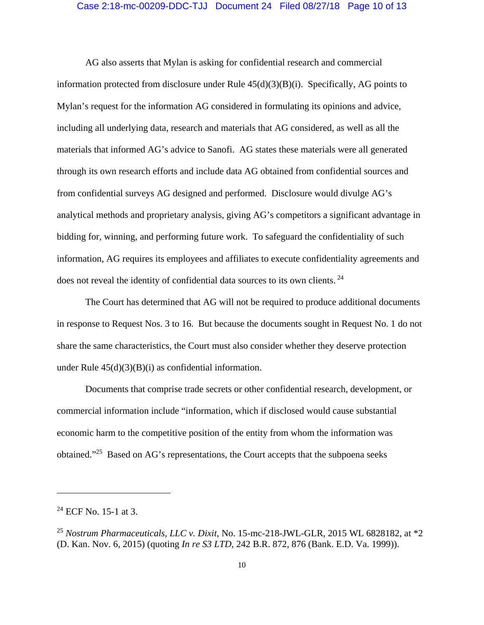#### Case 2:18-mc-00209-DDC-TJJ Document 24 Filed 08/27/18 Page 10 of 13

 AG also asserts that Mylan is asking for confidential research and commercial information protected from disclosure under Rule 45(d)(3)(B)(i). Specifically, AG points to Mylan's request for the information AG considered in formulating its opinions and advice, including all underlying data, research and materials that AG considered, as well as all the materials that informed AG's advice to Sanofi. AG states these materials were all generated through its own research efforts and include data AG obtained from confidential sources and from confidential surveys AG designed and performed. Disclosure would divulge AG's analytical methods and proprietary analysis, giving AG's competitors a significant advantage in bidding for, winning, and performing future work. To safeguard the confidentiality of such information, AG requires its employees and affiliates to execute confidentiality agreements and does not reveal the identity of confidential data sources to its own clients.<sup>24</sup>

 The Court has determined that AG will not be required to produce additional documents in response to Request Nos. 3 to 16. But because the documents sought in Request No. 1 do not share the same characteristics, the Court must also consider whether they deserve protection under Rule  $45(d)(3)(B)(i)$  as confidential information.

 Documents that comprise trade secrets or other confidential research, development, or commercial information include "information, which if disclosed would cause substantial economic harm to the competitive position of the entity from whom the information was obtained."25 Based on AG's representations, the Court accepts that the subpoena seeks

 $24$  ECF No. 15-1 at 3.

<sup>25</sup> *Nostrum Pharmaceuticals, LLC v. Dixit*, No. 15-mc-218-JWL-GLR, 2015 WL 6828182, at \*2 (D. Kan. Nov. 6, 2015) (quoting *In re S3 LTD*, 242 B.R. 872, 876 (Bank. E.D. Va. 1999)).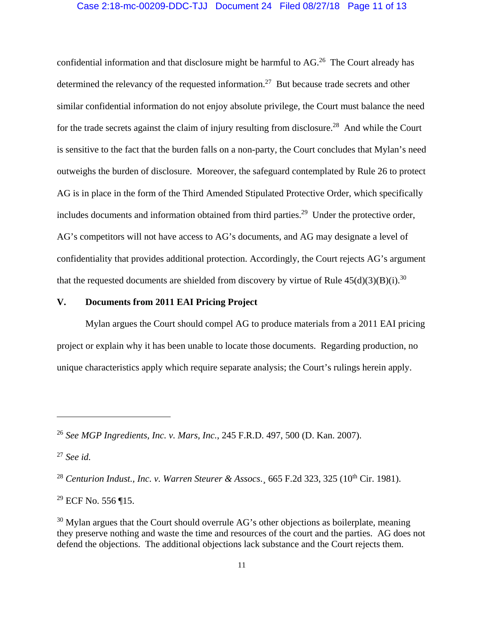## Case 2:18-mc-00209-DDC-TJJ Document 24 Filed 08/27/18 Page 11 of 13

confidential information and that disclosure might be harmful to AG.<sup>26</sup> The Court already has determined the relevancy of the requested information.<sup>27</sup> But because trade secrets and other similar confidential information do not enjoy absolute privilege, the Court must balance the need for the trade secrets against the claim of injury resulting from disclosure.28 And while the Court is sensitive to the fact that the burden falls on a non-party, the Court concludes that Mylan's need outweighs the burden of disclosure. Moreover, the safeguard contemplated by Rule 26 to protect AG is in place in the form of the Third Amended Stipulated Protective Order, which specifically includes documents and information obtained from third parties.<sup>29</sup> Under the protective order, AG's competitors will not have access to AG's documents, and AG may designate a level of confidentiality that provides additional protection. Accordingly, the Court rejects AG's argument that the requested documents are shielded from discovery by virtue of Rule  $45(d)(3)(B)(i).^{30}$ 

### **V. Documents from 2011 EAI Pricing Project**

 Mylan argues the Court should compel AG to produce materials from a 2011 EAI pricing project or explain why it has been unable to locate those documents. Regarding production, no unique characteristics apply which require separate analysis; the Court's rulings herein apply.

<sup>26</sup> *See MGP Ingredients, Inc. v. Mars, Inc.*, 245 F.R.D. 497, 500 (D. Kan. 2007).

<sup>27</sup> *See id.*

<sup>&</sup>lt;sup>28</sup> Centurion Indust., Inc. v. Warren Steurer & Assocs. 665 F.2d 323, 325 (10<sup>th</sup> Cir. 1981).

<sup>29</sup> ECF No. 556 ¶15.

 $30$  Mylan argues that the Court should overrule AG's other objections as boilerplate, meaning they preserve nothing and waste the time and resources of the court and the parties. AG does not defend the objections. The additional objections lack substance and the Court rejects them.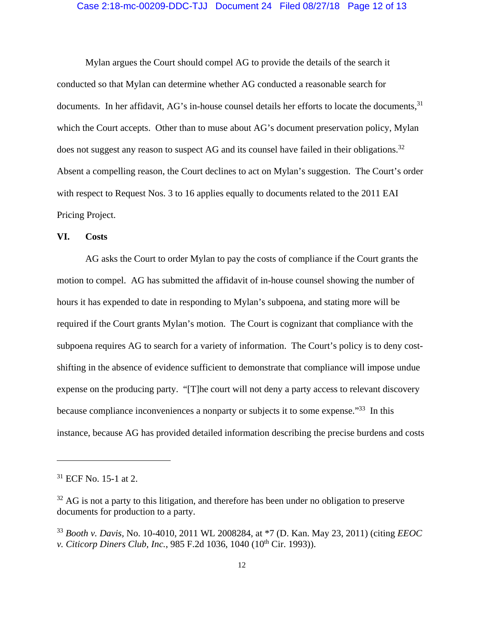#### Case 2:18-mc-00209-DDC-TJJ Document 24 Filed 08/27/18 Page 12 of 13

 Mylan argues the Court should compel AG to provide the details of the search it conducted so that Mylan can determine whether AG conducted a reasonable search for documents. In her affidavit, AG's in-house counsel details her efforts to locate the documents, 31 which the Court accepts. Other than to muse about AG's document preservation policy, Mylan does not suggest any reason to suspect AG and its counsel have failed in their obligations.<sup>32</sup> Absent a compelling reason, the Court declines to act on Mylan's suggestion. The Court's order with respect to Request Nos. 3 to 16 applies equally to documents related to the 2011 EAI Pricing Project.

#### **VI. Costs**

 AG asks the Court to order Mylan to pay the costs of compliance if the Court grants the motion to compel. AG has submitted the affidavit of in-house counsel showing the number of hours it has expended to date in responding to Mylan's subpoena, and stating more will be required if the Court grants Mylan's motion. The Court is cognizant that compliance with the subpoena requires AG to search for a variety of information. The Court's policy is to deny costshifting in the absence of evidence sufficient to demonstrate that compliance will impose undue expense on the producing party. "[T]he court will not deny a party access to relevant discovery because compliance inconveniences a nonparty or subjects it to some expense.<sup>33</sup> In this instance, because AG has provided detailed information describing the precise burdens and costs

 $31$  ECF No. 15-1 at 2.

 $32$  AG is not a party to this litigation, and therefore has been under no obligation to preserve documents for production to a party.

<sup>33</sup> *Booth v. Davis,* No. 10-4010, 2011 WL 2008284, at \*7 (D. Kan. May 23, 2011) (citing *EEOC v. Citicorp Diners Club, Inc., 985 F.2d 1036, 1040 (10<sup>th</sup> Cir. 1993)).*